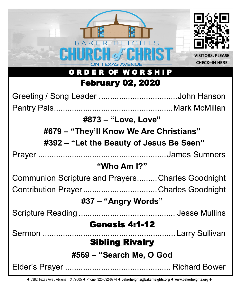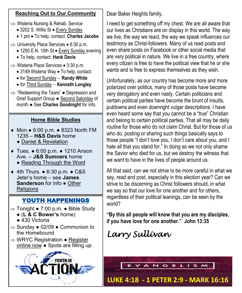## **Reaching Out to Our Community**

- $\Rightarrow$  Wisteria Nursing & Rehab. Service
	- 3202 S. Willis St Every Sunday
	- 1 pm To help, contact: **Charles Jacobs**
- $\Rightarrow$  University Place Services 6:30 p.m.
	- 1250 E.N. 10th St Every Sunday evening
	- To help, contact: **Hank Davis**
- $\Rightarrow$  Wisteria Place Services 3:30 p.m.
	- 3149 Wisteria Way To help, contact:
	- for Second Sunday − **Randy White**
	- for Third Sunday − **Kenneth Longley**
- $\Rightarrow$  "Redeeming the Tears"  $\bullet$  Depression and Grief Support Group ● Second Saturday of month ● See **Charles Goodnight** for info.

## **Home Bible Studies**

- Mon.● 6:00 p.m. 8323 North FM 1235 – **H&S Davis** home
	- Daniel & Revelation
- Tues. 6:00 p.m. 1210 Anson Ave. – **J&S Sumners** home
	- Reading Through the Word
- 4th Thurs. 6:30 p.m. C&S Jeter's home – see **James Sanderson** for info ● Other **Religions**

# YOUTH HAPPENINGS

- $\Rightarrow$  Tonight 7:00 p.m. Bible Study
	- (**L & C Bower's** home)
	- 430 Victoria
- $\Rightarrow$  Sunday  $\bullet$  02/09  $\bullet$  Communion to the Homebound
- $\Rightarrow$  WRYC Registration Register online now ● Spots are filling up.



Dear Baker Heights family,

I need to get something off my chest. We are all aware that our lives as Christians are on display in this world. The way we live, the way we react, the way we speak influences our testimony as Christ-followers. Many of us read posts and even share posts on Facebook or other social media that are very political in nature. We live in a free country, where every citizen is free to have the political view that he or she wants and is free to express themselves as they wish.

Unfortunately, as our country has become more and more polarized over politics, many of those posts have become very derogatory and even nasty. Certain politicians and certain political parties have become the brunt of insults, putdowns and even downright vulgar descriptions. I have even heard some say that you cannot be a "true" Christian and belong to certain political parties. That all may be daily routine for those who do not claim Christ. But for those of us who do, posting or sharing such things basically says to those people "I don't love you, I don't care about you, and I hate all that you stand for." In doing so we not only shame the Savior who died for us, but we destroy the witness that we want to have in the lives of people around us.

All that said, can we not strive to be more careful in what we say, read and post, especially in this election year? Can we strive to be discerning as Christ followers should, in what we say so that our love for one another and for others, regardless of their political leanings, can be seen by the world?

**"By this all people will know that you are my disciples, if you have love for one another." John 13:35**

# *Larry Sullivan*

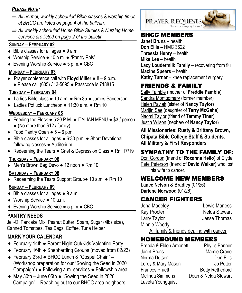## *PLEASE NOTE:*

- *All normal, weekly scheduled Bible classes & worship times at BHCC are listed on page 4 of the bulletin.*
- *All weekly scheduled Home Bible Studies & Nursing Home*  services are listed on page 2 of the bulletin. **BHCC MEMBERS**

## **SUNDAY – FEBRUARY 02**

- $\bullet$  Bible classes for all ages  $\bullet$  9 a.m.
- Worship Service 10 a.m. "Pantry Pals"
- Evening Worship Service 5 p.m.● CBC

### **MONDAY – FEBRUARY 03**

 Prayer conference call with **Floyd Miller** ● 8 – 9 p.m. ● Please call (605) 313-5695 ● Passcode is 718815

### **TUESDAY – FEBRUARY 04**

- Ladies Bible class 10 a.m. Rm 35 James Sanderson
- Ladies Potluck Luncheon 11:30 a.m. Rm 10

### **WEDNESDAY – FEBRUARY 05**

- Feeding the Flock 5:30 P.M. ITALIAN MENU \$3 / person ● (No more than \$12 / family)
- $\bullet$  Food Pantry Open  $\bullet$  5 6 p.m.
- Bible classes for all ages 6:30 p.m. Short Devotional following classes ● Auditorium
- ◆ Redeeming the Tears Grief & Depression Class Rm 17/19

### **THURSDAY – FEBRUARY 06**

Men's Brown Bag Devo ● 12 noon ● Rm 10

### **SATURDAY – FEBRUARY 08**

Redeeming the Tears Support Group● 10 a.m. ● Rm 10

### **SUNDAY – FEBRUARY 09**

- ◆ Bible classes for all ages 9 a.m.
- ◆ Worship Service 10 a.m.
- Evening Worship Service 5 p.m.● CBC

## **PANTRY NEEDS**

Jell-O, Pancake Mix, Peanut Butter, Spam, Sugar (4lbs size), Canned Tomatoes, Tea Bags, Coffee, Tuna Helper

# **MARK YOUR CALENDAR**

- February 14th Parent Night Out/Kids Valentine Party
- February 16th Shepherding Groups (moved from 02/23)
- February 23rd BHCC Lunch & "Gospel Chain" (Workshop preparation for our "Sowing the Seed in 2020 Campaign") ● Following a.m. services ● Fellowship area
- May 30th June 05th "Sowing the Seed in 2020 Campaign" – Reaching out to our BHCC area neighbors.



**Janet Bruns** – health **Don Ellis** – HMC 3622 **Thressia Henry** – health **Mike Lee** – health **Lacy Loudermilk Family** – recovering from flu **Maxine Spears** – health **Kathy Turner** – knee replacement surgery

# FRIENDS & FAMILY

Sally Famble (mother of **Freddie Famble**) Sandra Montgomery (former member) Helen Pavlak (sister of **Nancy Taylor**) Marijin See (daughter of **Terry McGaha**) Naomi Taylor (friend of **Tammy Tiner**) Justin Wilson (nephew of **Nancy Taylor**)

**All Missionaries: Rusty & Brittany Brown, Chipata Bible College Staff & Students. All Military & First Responders**

# SYMPATHY TO THE FAMILY OF:

Don Gordon (friend of **Roxanne Hello**) of Clyde Pete Peterson (friend of **David Walker**) who lost his wife to cancer.

# WELCOME NEW MEMBERS

**Lance Nelson & Bradley** (01/26) **Darlene Norwood** (01/26)

# CANCER FIGHTERS

Minnie Woody

Jena Madeley Lewis Maness Kay Procter Nelda Stewart Larry Taylor **Jesse Thomas** 

All family & friends dealing with cancer

# HOMEBOUND MEMBERS

Brenda & Eldon Amonett Phyllis Bonner Janet Bruns Mamie Crane Norma Dotson **Don Ellis** Leroy & Mary Mason Jo Potter **Frances Pruett** Betty Retherford Melinda Simmons Dean & Nelda Stewart Laveta Youngquist